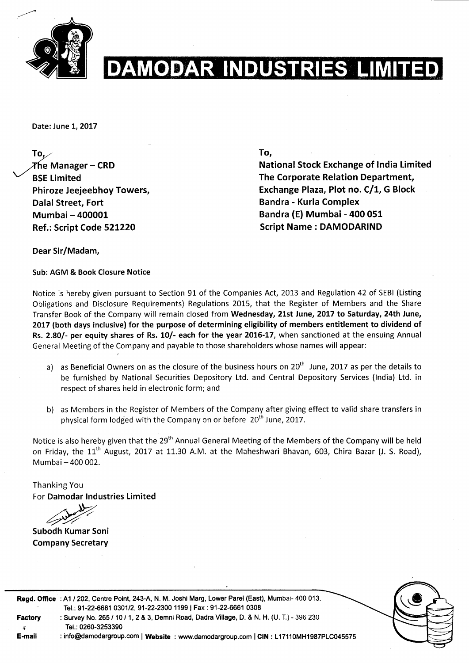

## **INDUSTRIES LIMIT IVODY**

Date: June 1, 2017

To, $\angle$ The Manager – CRD **BSE Limited** Phiroze Jeejeebhoy Towers, Dalal Street, Fort Mumbai- 400001 Ref.: Script Code 521220

To,

National Stock Exchange of lndia Limited The Corporate Relation Department, Exchange Plaza, Plot no. C/1, G Block Bandra - Kurla Complex Bandra (E) Mumbai - 400 051 Script Name : DAMODARIND

Dear Sir/Madam,

Sub: AGM & Book Closure Notice

Notice is hereby given pursuant to Section 91 of the Companies Act, 2013 and Regulation 42 of SEBI (Listing Obligations and Disclosure Requirements) Regulations 20L5, that the Register of Members and the Share Transfer Book of the Company will remain closed from Wednesday, 21st June, 2017 to Saturday, 24th June, 2017 (both days inclusive) for the purpose of determining eligibility of members entitlement to dividend of Rs. 2.80/- per equity shares of Rs. 10/- each for the year 2015-17, when sanctioned at the ensuing Annual General Meeting of the Company and payable to those shareholders whose names will appear:

- a) as Beneficial Owners on as the closure of the business hours on  $20<sup>th</sup>$  June, 2017 as per the details to be furnished by National Securities Depository Ltd. and Central Depository Services (lndia) Ltd. in respect of shares held in electronic form; and
- b) as Members in the Register of Members of the Company after giving effect to valid share transfers in physical form lodged with the Company on or before 20<sup>th</sup> June, 2017.

Notice is also hereby given that the 29<sup>th</sup> Annual General Meeting of the Members of the Company will be held on Friday, the 11<sup>th</sup> August, 2017 at 11.30 A.M. at the Maheshwari Bhavan, 603, Chira Bazar (J. S. Road), Mumbai - 400 002.

Thanking You For Damodar Industries Limited

Tel.: 0260-3253390

Subodh Kumar Soni Company Secretary



Regd. Office : A1 / 202, Centre Point, 243-A, N. M. Joshi Marg, Lower Parel (East), Mumbai- 400 013. Tel.: 91-22-6661 0301/2, 91-22-2300 1199 | Fax : 91-22-6661 0308 Factory : Survey No. 265 / 10 / 1, 2 & 3, Demni Road, Dadra Village, D. & N. H. (U. T.) - 396 230

E-mail : info@damodargroup.com | Website : www.damodargroup.com | CIN : L17110MH1987PLC045575